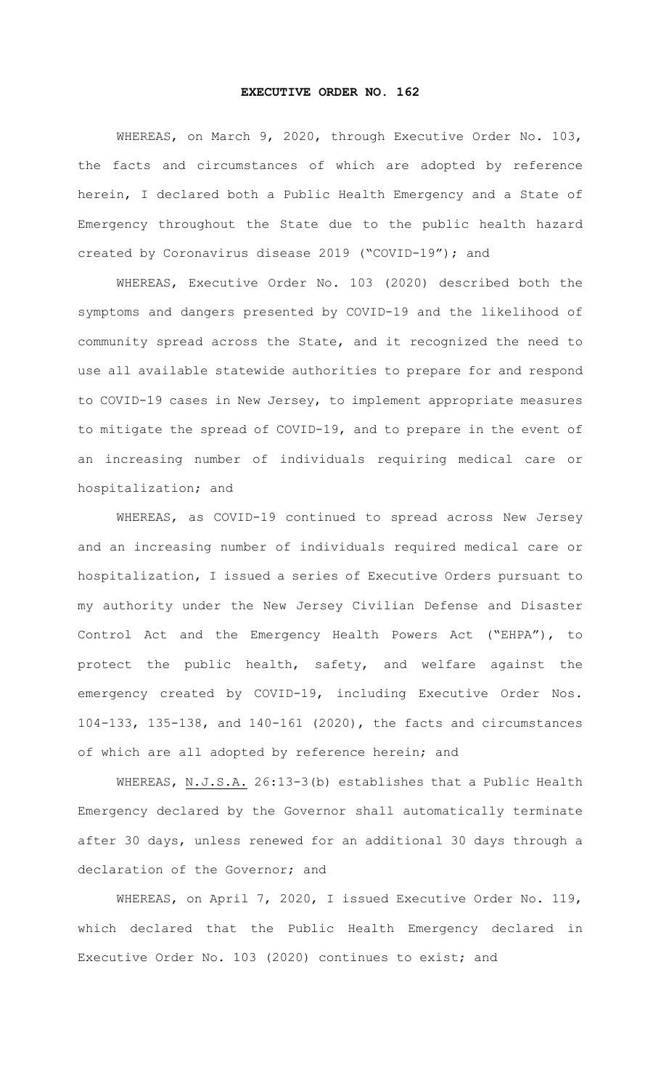## **EXECUTIVE ORDER NO. 162**

WHEREAS, on March 9, 2020, through Executive Order No. 103, the facts and circumstances of which are adopted by reference herein, I declared both a Public Health Emergency and a State of Emergency throughout the State due to the public health hazard created by Coronavirus disease 2019 ("COVID-19"); and

WHEREAS, Executive Order No. 103 (2020) described both the symptoms and dangers presented by COVID-19 and the likelihood of community spread across the State, and it recognized the need to use all available statewide authorities to prepare for and respond to COVID-19 cases in New Jersey, to implement appropriate measures to mitigate the spread of COVID-19, and to prepare in the event of an increasing number of individuals requiring medical care or hospitalization; and

WHEREAS, as COVID-19 continued to spread across New Jersey and an increasing number of individuals required medical care or hospitalization, I issued a series of Executive Orders pursuant to my authority under the New Jersey Civilian Defense and Disaster Control Act and the Emergency Health Powers Act ("EHPA"), to protect the public health, safety, and welfare against the emergency created by COVID-19, including Executive Order Nos. 104-133, 135-138, and 140-161 (2020), the facts and circumstances of which are all adopted by reference herein; and

WHEREAS, N.J.S.A. 26:13-3(b) establishes that a Public Health Emergency declared by the Governor shall automatically terminate after 30 days, unless renewed for an additional 30 days through a declaration of the Governor; and

WHEREAS, on April 7, 2020, I issued Executive Order No. 119, which declared that the Public Health Emergency declared in Executive Order No. 103 (2020) continues to exist; and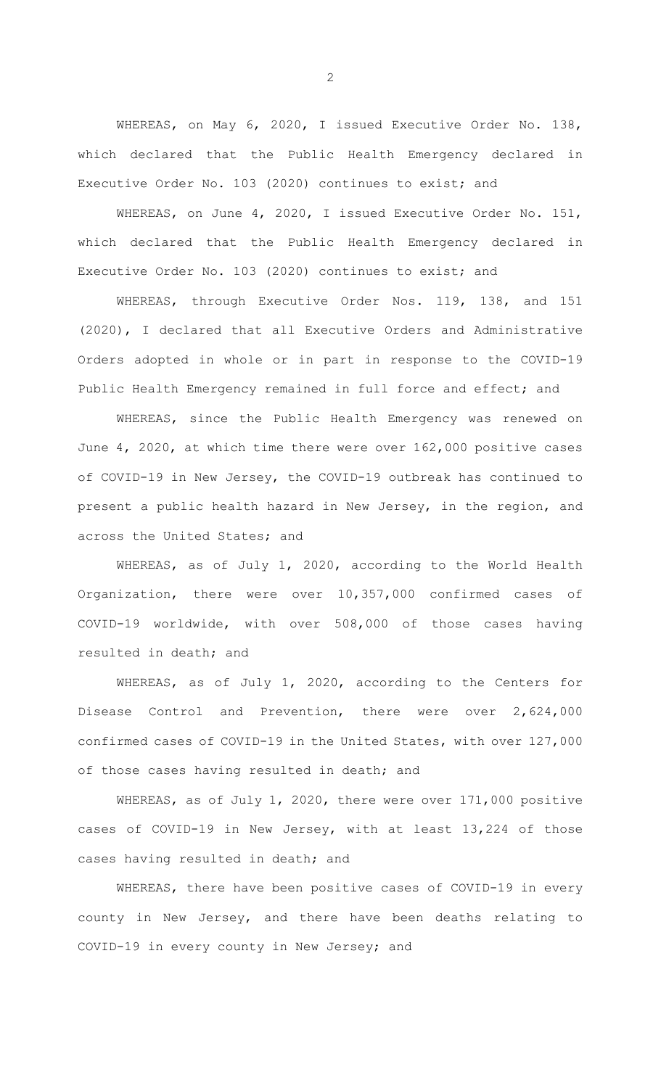WHEREAS, on May 6, 2020, I issued Executive Order No. 138, which declared that the Public Health Emergency declared in Executive Order No. 103 (2020) continues to exist; and

WHEREAS, on June 4, 2020, I issued Executive Order No. 151, which declared that the Public Health Emergency declared in Executive Order No. 103 (2020) continues to exist; and

WHEREAS, through Executive Order Nos. 119, 138, and 151 (2020), I declared that all Executive Orders and Administrative Orders adopted in whole or in part in response to the COVID-19 Public Health Emergency remained in full force and effect; and

WHEREAS, since the Public Health Emergency was renewed on June 4, 2020, at which time there were over 162,000 positive cases of COVID-19 in New Jersey, the COVID-19 outbreak has continued to present a public health hazard in New Jersey, in the region, and across the United States; and

WHEREAS, as of July 1, 2020, according to the World Health Organization, there were over 10,357,000 confirmed cases of COVID-19 worldwide, with over 508,000 of those cases having resulted in death; and

WHEREAS, as of July 1, 2020, according to the Centers for Disease Control and Prevention, there were over 2,624,000 confirmed cases of COVID-19 in the United States, with over 127,000 of those cases having resulted in death; and

WHEREAS, as of July 1, 2020, there were over 171,000 positive cases of COVID-19 in New Jersey, with at least 13,224 of those cases having resulted in death; and

WHEREAS, there have been positive cases of COVID-19 in every county in New Jersey, and there have been deaths relating to COVID-19 in every county in New Jersey; and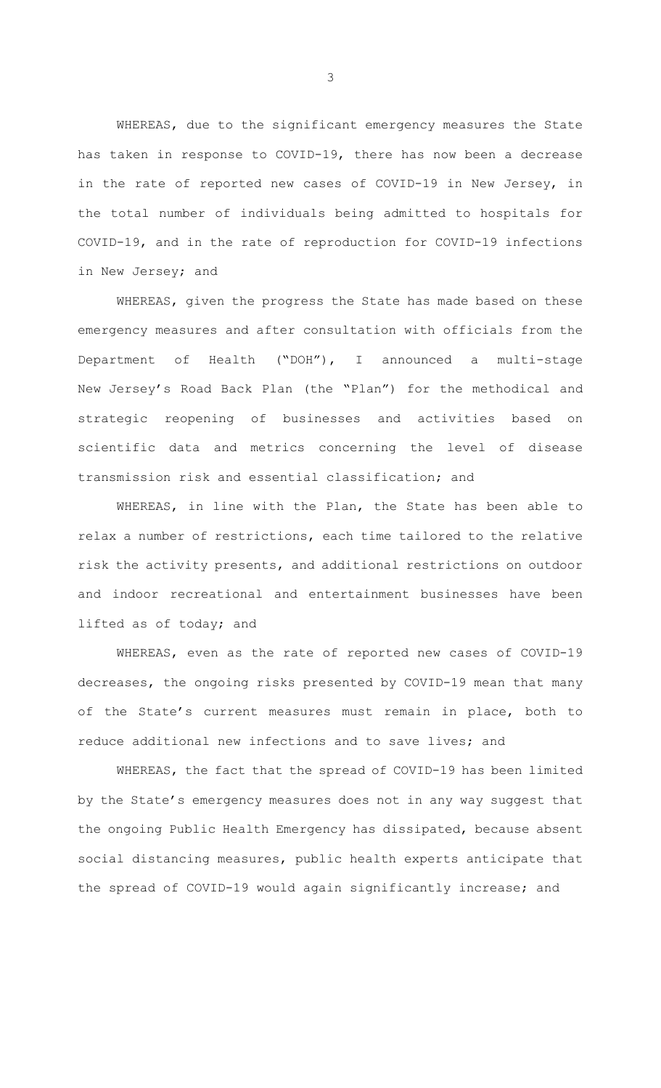WHEREAS, due to the significant emergency measures the State has taken in response to COVID-19, there has now been a decrease in the rate of reported new cases of COVID-19 in New Jersey, in the total number of individuals being admitted to hospitals for COVID-19, and in the rate of reproduction for COVID-19 infections in New Jersey; and

WHEREAS, given the progress the State has made based on these emergency measures and after consultation with officials from the Department of Health ("DOH"), I announced a multi-stage New Jersey's Road Back Plan (the "Plan") for the methodical and strategic reopening of businesses and activities based on scientific data and metrics concerning the level of disease transmission risk and essential classification; and

WHEREAS, in line with the Plan, the State has been able to relax a number of restrictions, each time tailored to the relative risk the activity presents, and additional restrictions on outdoor and indoor recreational and entertainment businesses have been lifted as of today; and

WHEREAS, even as the rate of reported new cases of COVID-19 decreases, the ongoing risks presented by COVID-19 mean that many of the State's current measures must remain in place, both to reduce additional new infections and to save lives; and

WHEREAS, the fact that the spread of COVID-19 has been limited by the State's emergency measures does not in any way suggest that the ongoing Public Health Emergency has dissipated, because absent social distancing measures, public health experts anticipate that the spread of COVID-19 would again significantly increase; and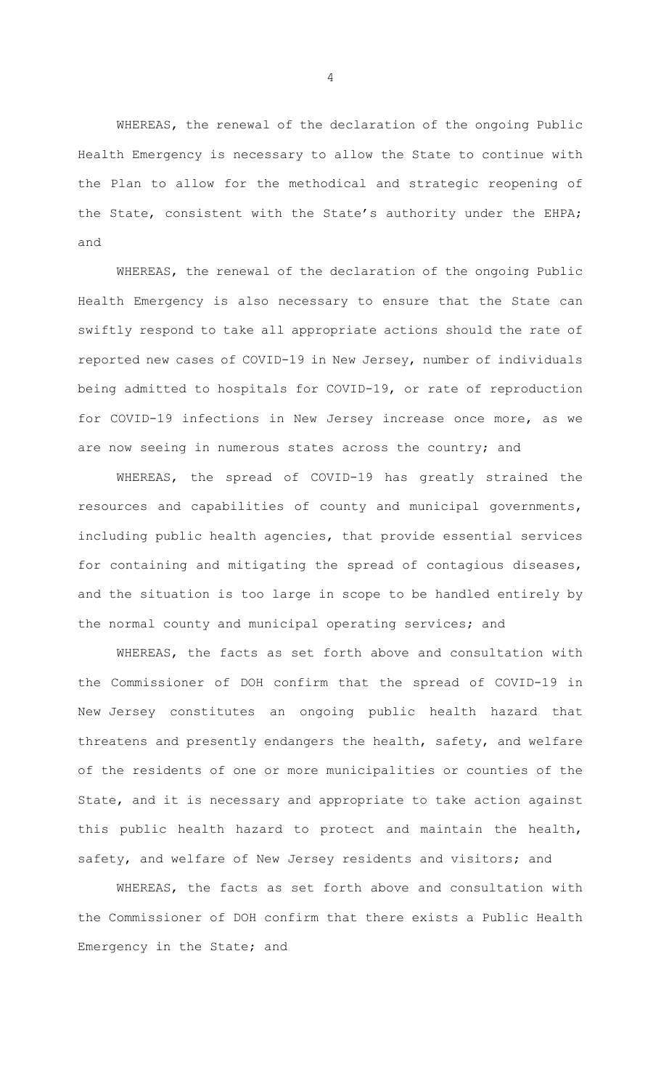WHEREAS, the renewal of the declaration of the ongoing Public Health Emergency is necessary to allow the State to continue with the Plan to allow for the methodical and strategic reopening of the State, consistent with the State's authority under the EHPA; and

WHEREAS, the renewal of the declaration of the ongoing Public Health Emergency is also necessary to ensure that the State can swiftly respond to take all appropriate actions should the rate of reported new cases of COVID-19 in New Jersey, number of individuals being admitted to hospitals for COVID-19, or rate of reproduction for COVID-19 infections in New Jersey increase once more, as we are now seeing in numerous states across the country; and

WHEREAS, the spread of COVID-19 has greatly strained the resources and capabilities of county and municipal governments, including public health agencies, that provide essential services for containing and mitigating the spread of contagious diseases, and the situation is too large in scope to be handled entirely by the normal county and municipal operating services; and

WHEREAS, the facts as set forth above and consultation with the Commissioner of DOH confirm that the spread of COVID-19 in New Jersey constitutes an ongoing public health hazard that threatens and presently endangers the health, safety, and welfare of the residents of one or more municipalities or counties of the State, and it is necessary and appropriate to take action against this public health hazard to protect and maintain the health, safety, and welfare of New Jersey residents and visitors; and

WHEREAS, the facts as set forth above and consultation with the Commissioner of DOH confirm that there exists a Public Health Emergency in the State; and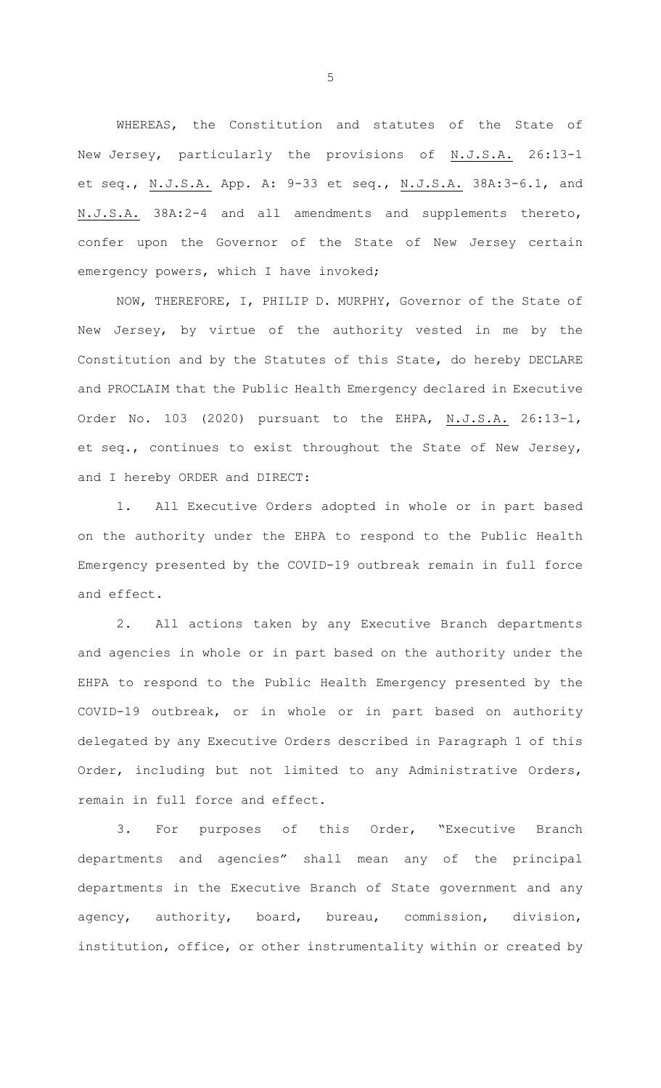WHEREAS, the Constitution and statutes of the State of New Jersey, particularly the provisions of N.J.S.A. 26:13-1 et seq., N.J.S.A. App. A: 9-33 et seq., N.J.S.A. 38A:3-6.1, and N.J.S.A. 38A:2-4 and all amendments and supplements thereto, confer upon the Governor of the State of New Jersey certain emergency powers, which I have invoked;

NOW, THEREFORE, I, PHILIP D. MURPHY, Governor of the State of New Jersey, by virtue of the authority vested in me by the Constitution and by the Statutes of this State, do hereby DECLARE and PROCLAIM that the Public Health Emergency declared in Executive Order No. 103 (2020) pursuant to the EHPA, N.J.S.A. 26:13-1, et seq., continues to exist throughout the State of New Jersey, and I hereby ORDER and DIRECT:

1. All Executive Orders adopted in whole or in part based on the authority under the EHPA to respond to the Public Health Emergency presented by the COVID-19 outbreak remain in full force and effect.

2. All actions taken by any Executive Branch departments and agencies in whole or in part based on the authority under the EHPA to respond to the Public Health Emergency presented by the COVID-19 outbreak, or in whole or in part based on authority delegated by any Executive Orders described in Paragraph 1 of this Order, including but not limited to any Administrative Orders, remain in full force and effect.

3. For purposes of this Order, "Executive Branch departments and agencies" shall mean any of the principal departments in the Executive Branch of State government and any agency, authority, board, bureau, commission, division, institution, office, or other instrumentality within or created by